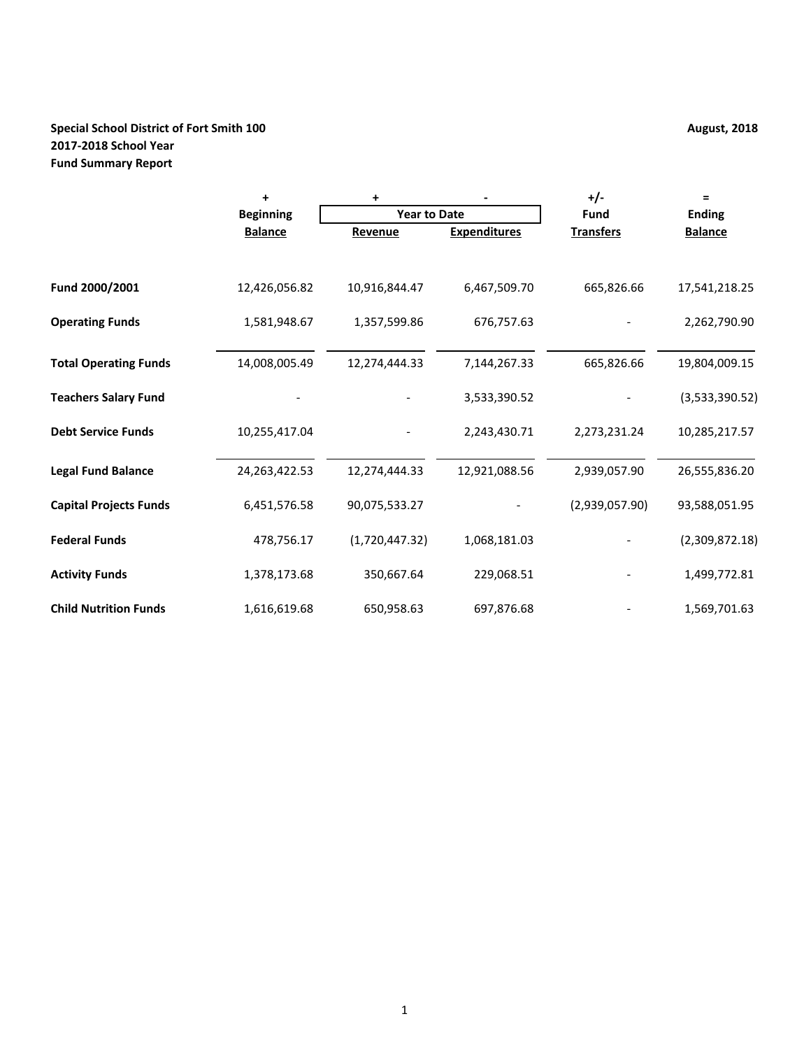# **Special School District of Fort Smith 100 August, 2018 August, 2018 2017-2018 School Year Fund Summary Report**

|                               | $\ddot{}$        | +                   |                     | $+/-$            | $\equiv$       |
|-------------------------------|------------------|---------------------|---------------------|------------------|----------------|
|                               | <b>Beginning</b> | <b>Year to Date</b> |                     | <b>Fund</b>      | <b>Ending</b>  |
|                               | <b>Balance</b>   | Revenue             | <b>Expenditures</b> | <b>Transfers</b> | <b>Balance</b> |
| Fund 2000/2001                | 12,426,056.82    | 10,916,844.47       | 6,467,509.70        | 665,826.66       | 17,541,218.25  |
|                               |                  |                     |                     |                  |                |
| <b>Operating Funds</b>        | 1,581,948.67     | 1,357,599.86        | 676,757.63          |                  | 2,262,790.90   |
| <b>Total Operating Funds</b>  | 14,008,005.49    | 12,274,444.33       | 7,144,267.33        | 665,826.66       | 19,804,009.15  |
| <b>Teachers Salary Fund</b>   |                  |                     | 3,533,390.52        |                  | (3,533,390.52) |
| <b>Debt Service Funds</b>     | 10,255,417.04    |                     | 2,243,430.71        | 2,273,231.24     | 10,285,217.57  |
| <b>Legal Fund Balance</b>     | 24, 263, 422. 53 | 12,274,444.33       | 12,921,088.56       | 2,939,057.90     | 26,555,836.20  |
| <b>Capital Projects Funds</b> | 6,451,576.58     | 90,075,533.27       |                     | (2,939,057.90)   | 93,588,051.95  |
| <b>Federal Funds</b>          | 478,756.17       | (1,720,447.32)      | 1,068,181.03        |                  | (2,309,872.18) |
| <b>Activity Funds</b>         | 1,378,173.68     | 350,667.64          | 229,068.51          |                  | 1,499,772.81   |
| <b>Child Nutrition Funds</b>  | 1,616,619.68     | 650,958.63          | 697,876.68          |                  | 1,569,701.63   |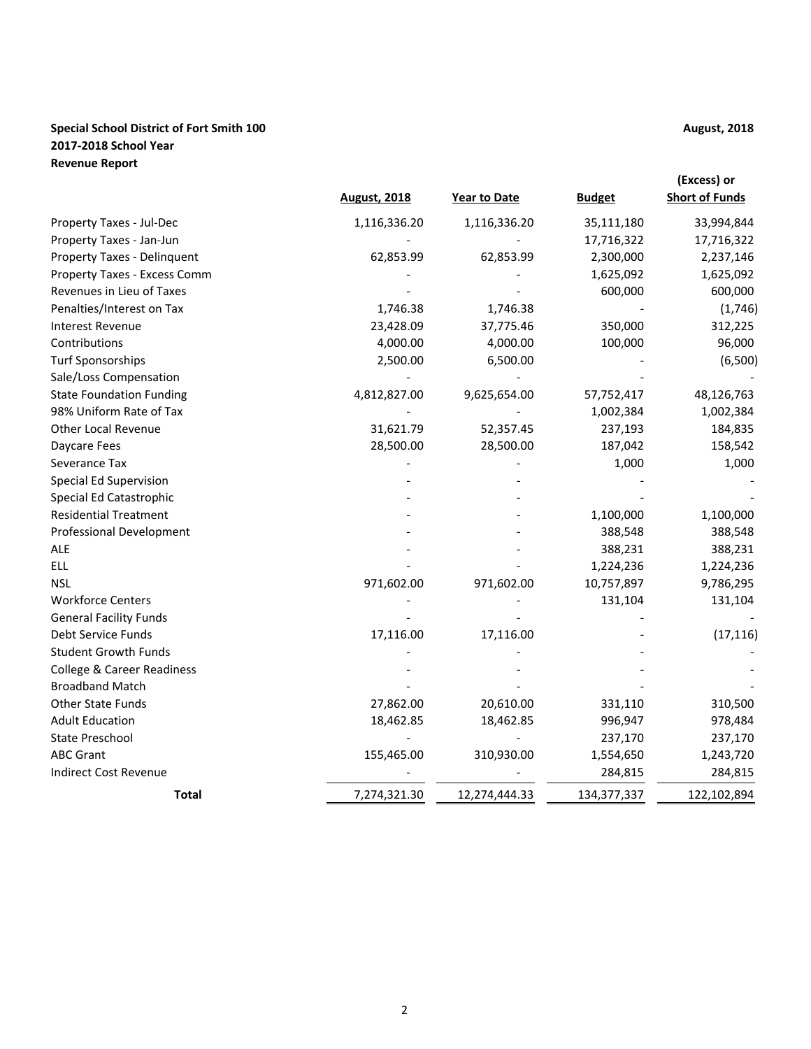# **Special School District of Fort Smith 100 August, 2018 August, 2018 2017-2018 School Year Revenue Report**

|                                 |                     |                     |               | (Excess) or           |
|---------------------------------|---------------------|---------------------|---------------|-----------------------|
|                                 | <b>August, 2018</b> | <b>Year to Date</b> | <b>Budget</b> | <b>Short of Funds</b> |
| Property Taxes - Jul-Dec        | 1,116,336.20        | 1,116,336.20        | 35,111,180    | 33,994,844            |
| Property Taxes - Jan-Jun        |                     |                     | 17,716,322    | 17,716,322            |
| Property Taxes - Delinquent     | 62,853.99           | 62,853.99           | 2,300,000     | 2,237,146             |
| Property Taxes - Excess Comm    |                     |                     | 1,625,092     | 1,625,092             |
| Revenues in Lieu of Taxes       |                     |                     | 600,000       | 600,000               |
| Penalties/Interest on Tax       | 1,746.38            | 1,746.38            |               | (1,746)               |
| <b>Interest Revenue</b>         | 23,428.09           | 37,775.46           | 350,000       | 312,225               |
| Contributions                   | 4,000.00            | 4,000.00            | 100,000       | 96,000                |
| <b>Turf Sponsorships</b>        | 2,500.00            | 6,500.00            |               | (6,500)               |
| Sale/Loss Compensation          |                     |                     |               |                       |
| <b>State Foundation Funding</b> | 4,812,827.00        | 9,625,654.00        | 57,752,417    | 48,126,763            |
| 98% Uniform Rate of Tax         |                     |                     | 1,002,384     | 1,002,384             |
| <b>Other Local Revenue</b>      | 31,621.79           | 52,357.45           | 237,193       | 184,835               |
| Daycare Fees                    | 28,500.00           | 28,500.00           | 187,042       | 158,542               |
| Severance Tax                   |                     |                     | 1,000         | 1,000                 |
| <b>Special Ed Supervision</b>   |                     |                     |               |                       |
| Special Ed Catastrophic         |                     |                     |               |                       |
| <b>Residential Treatment</b>    |                     |                     | 1,100,000     | 1,100,000             |
| <b>Professional Development</b> |                     |                     | 388,548       | 388,548               |
| <b>ALE</b>                      |                     |                     | 388,231       | 388,231               |
| <b>ELL</b>                      |                     |                     | 1,224,236     | 1,224,236             |
| <b>NSL</b>                      | 971,602.00          | 971,602.00          | 10,757,897    | 9,786,295             |
| <b>Workforce Centers</b>        |                     |                     | 131,104       | 131,104               |
| <b>General Facility Funds</b>   |                     |                     |               |                       |
| Debt Service Funds              | 17,116.00           | 17,116.00           |               | (17, 116)             |
| <b>Student Growth Funds</b>     |                     |                     |               |                       |
| College & Career Readiness      |                     |                     |               |                       |
| <b>Broadband Match</b>          |                     |                     |               |                       |
| <b>Other State Funds</b>        | 27,862.00           | 20,610.00           | 331,110       | 310,500               |
| <b>Adult Education</b>          | 18,462.85           | 18,462.85           | 996,947       | 978,484               |
| State Preschool                 |                     |                     | 237,170       | 237,170               |
| <b>ABC Grant</b>                | 155,465.00          | 310,930.00          | 1,554,650     | 1,243,720             |
| <b>Indirect Cost Revenue</b>    |                     |                     | 284,815       | 284,815               |
| <b>Total</b>                    | 7,274,321.30        | 12,274,444.33       | 134, 377, 337 | 122,102,894           |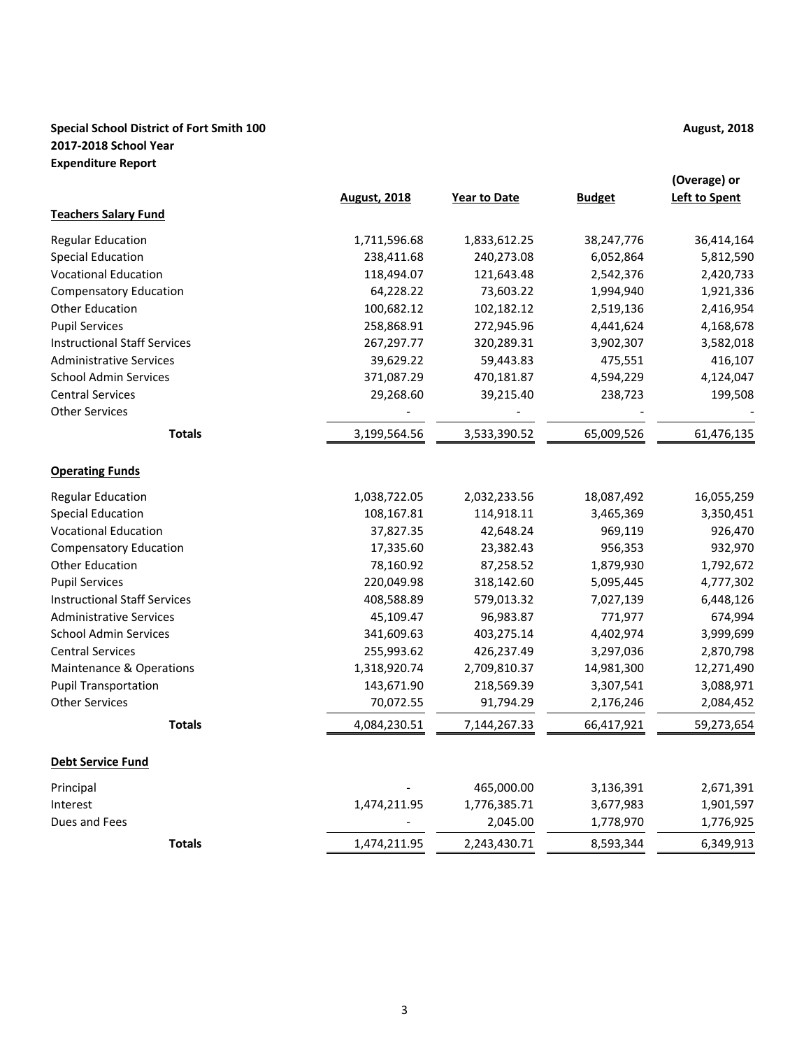# **Special School District of Fort Smith 100 August, 2018 August, 2018 2017-2018 School Year Expenditure Report**

|                                     |                     |                     |               | (Overage) or         |
|-------------------------------------|---------------------|---------------------|---------------|----------------------|
|                                     | <b>August, 2018</b> | <b>Year to Date</b> | <b>Budget</b> | <b>Left to Spent</b> |
| <b>Teachers Salary Fund</b>         |                     |                     |               |                      |
| <b>Regular Education</b>            | 1,711,596.68        | 1,833,612.25        | 38,247,776    | 36,414,164           |
| <b>Special Education</b>            | 238,411.68          | 240,273.08          | 6,052,864     | 5,812,590            |
| <b>Vocational Education</b>         | 118,494.07          | 121,643.48          | 2,542,376     | 2,420,733            |
| <b>Compensatory Education</b>       | 64,228.22           | 73,603.22           | 1,994,940     | 1,921,336            |
| <b>Other Education</b>              | 100,682.12          | 102,182.12          | 2,519,136     | 2,416,954            |
| <b>Pupil Services</b>               | 258,868.91          | 272,945.96          | 4,441,624     | 4,168,678            |
| <b>Instructional Staff Services</b> | 267,297.77          | 320,289.31          | 3,902,307     | 3,582,018            |
| <b>Administrative Services</b>      | 39,629.22           | 59,443.83           | 475,551       | 416,107              |
| <b>School Admin Services</b>        | 371,087.29          | 470,181.87          | 4,594,229     | 4,124,047            |
| <b>Central Services</b>             | 29,268.60           | 39,215.40           | 238,723       | 199,508              |
| <b>Other Services</b>               |                     |                     |               |                      |
| <b>Totals</b>                       | 3,199,564.56        | 3,533,390.52        | 65,009,526    | 61,476,135           |
| <b>Operating Funds</b>              |                     |                     |               |                      |
| <b>Regular Education</b>            | 1,038,722.05        | 2,032,233.56        | 18,087,492    | 16,055,259           |
| <b>Special Education</b>            | 108,167.81          | 114,918.11          | 3,465,369     | 3,350,451            |
| <b>Vocational Education</b>         | 37,827.35           | 42,648.24           | 969,119       | 926,470              |
| <b>Compensatory Education</b>       | 17,335.60           | 23,382.43           | 956,353       | 932,970              |
| <b>Other Education</b>              | 78,160.92           | 87,258.52           | 1,879,930     | 1,792,672            |
| <b>Pupil Services</b>               | 220,049.98          | 318,142.60          | 5,095,445     | 4,777,302            |
| <b>Instructional Staff Services</b> | 408,588.89          | 579,013.32          | 7,027,139     | 6,448,126            |
| <b>Administrative Services</b>      | 45,109.47           | 96,983.87           | 771,977       | 674,994              |
| <b>School Admin Services</b>        | 341,609.63          | 403,275.14          | 4,402,974     | 3,999,699            |
| <b>Central Services</b>             | 255,993.62          | 426,237.49          | 3,297,036     | 2,870,798            |
| Maintenance & Operations            | 1,318,920.74        | 2,709,810.37        | 14,981,300    | 12,271,490           |
| <b>Pupil Transportation</b>         | 143,671.90          | 218,569.39          | 3,307,541     | 3,088,971            |
| <b>Other Services</b>               | 70,072.55           | 91,794.29           | 2,176,246     | 2,084,452            |
| <b>Totals</b>                       | 4,084,230.51        | 7,144,267.33        | 66,417,921    | 59,273,654           |
| <b>Debt Service Fund</b>            |                     |                     |               |                      |
| Principal                           |                     | 465,000.00          | 3,136,391     | 2,671,391            |
| Interest                            | 1,474,211.95        | 1,776,385.71        | 3,677,983     | 1,901,597            |
| Dues and Fees                       |                     | 2,045.00            | 1,778,970     | 1,776,925            |
| <b>Totals</b>                       | 1,474,211.95        | 2,243,430.71        | 8,593,344     | 6,349,913            |